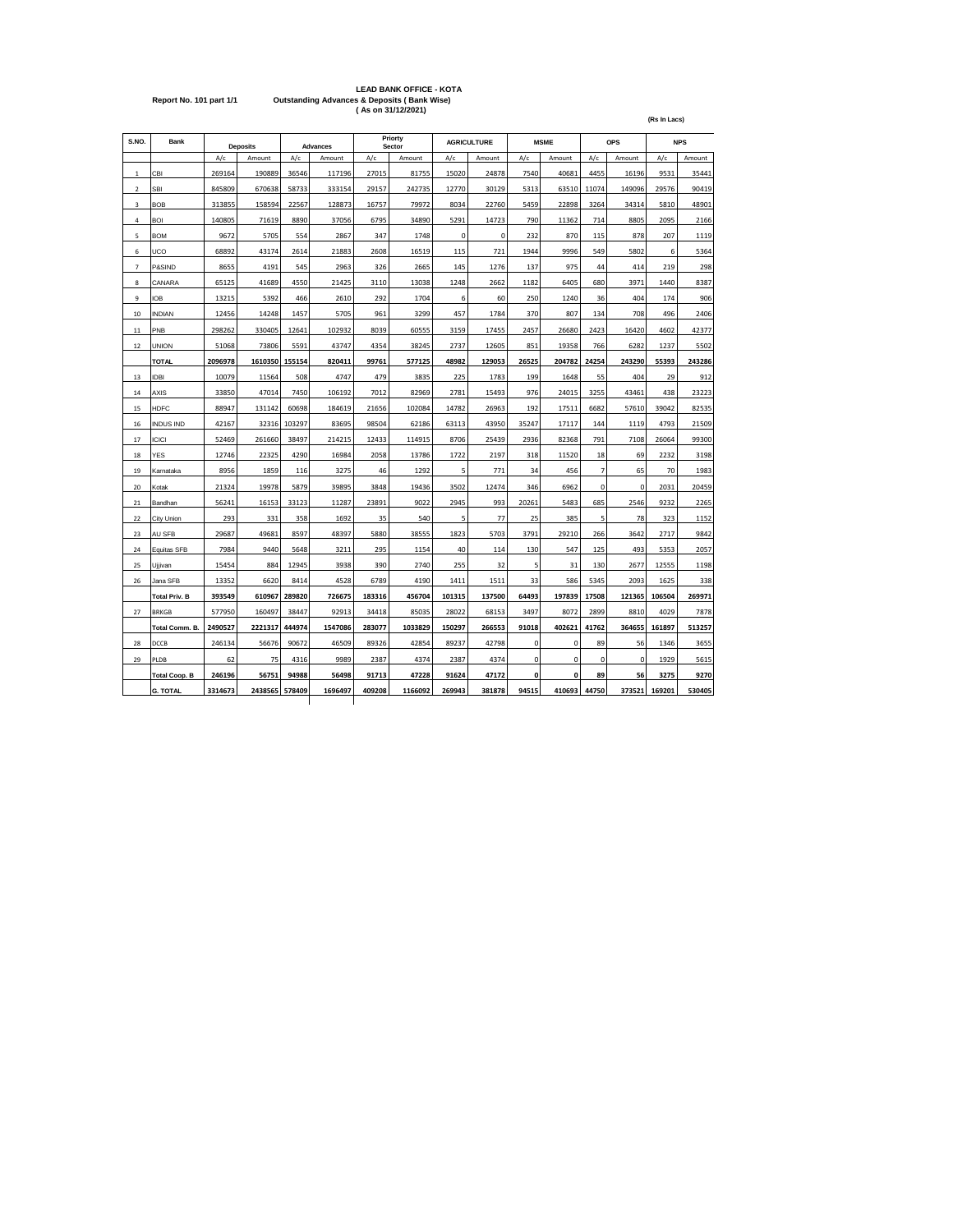|                         | <b>LEAD BANK OFFICE - KOTA</b>                         |
|-------------------------|--------------------------------------------------------|
| Report No. 101 part 1/1 | <b>Outstanding Advances &amp; Deposits (Bank Wise)</b> |
|                         | (As on 31/12/2021)                                     |

| S.NO.          | Bank                 |         | <b>Deposits</b> |        | Advances |        | Priorty<br>Sector |        | <b>AGRICULTURE</b> |             | <b>MSME</b> |                | <b>OPS</b>  |        | <b>NPS</b> |
|----------------|----------------------|---------|-----------------|--------|----------|--------|-------------------|--------|--------------------|-------------|-------------|----------------|-------------|--------|------------|
|                |                      | A/c     | Amount          | A/c    | Amount   | A/c    | Amount            | A/c    | Amount             | A/c         | Amount      | A/c            | Amount      | A/c    | Amount     |
| $\mathbf 1$    | CBI                  | 269164  | 190889          | 36546  | 117196   | 27015  | 81755             | 15020  | 24878              | 7540        | 40681       | 4455           | 16196       | 9531   | 35441      |
| $\overline{2}$ | SBI                  | 845809  | 670638          | 58733  | 333154   | 29157  | 242735            | 12770  | 30129              | 5313        | 63510       | 11074          | 149096      | 29576  | 90419      |
| 3              | <b>BOB</b>           | 313855  | 158594          | 22567  | 128873   | 16757  | 79972             | 8034   | 22760              | 5459        | 22898       | 3264           | 34314       | 5810   | 48901      |
| 4              | <b>BOI</b>           | 140805  | 71619           | 8890   | 37056    | 6795   | 34890             | 5291   | 14723              | 790         | 11362       | 714            | 8805        | 2095   | 2166       |
| 5              | <b>BOM</b>           | 9672    | 5705            | 554    | 2867     | 347    | 1748              | 0      | 0                  | 232         | 870         | 115            | 878         | 207    | 1119       |
| 6              | UCO                  | 68892   | 43174           | 2614   | 21883    | 2608   | 16519             | 115    | 721                | 1944        | 9996        | 549            | 5802        | 6      | 5364       |
| $\overline{7}$ | P&SIND               | 8655    | 4191            | 545    | 2963     | 326    | 2665              | 145    | 1276               | 137         | 975         | 44             | 414         | 219    | 298        |
| 8              | CANARA               | 65125   | 41689           | 4550   | 21425    | 3110   | 13038             | 1248   | 2662               | 1182        | 6405        | 680            | 3971        | 1440   | 8387       |
| 9              | <b>IOB</b>           | 13215   | 5392            | 466    | 2610     | 292    | 1704              | 6      | 60                 | 250         | 1240        | 36             | 404         | 174    | 906        |
| 10             | <b>INDIAN</b>        | 12456   | 14248           | 1457   | 5705     | 961    | 3299              | 457    | 1784               | 370         | 807         | 134            | 708         | 496    | 2406       |
| 11             | PNB                  | 298262  | 330405          | 12641  | 102932   | 8039   | 60555             | 3159   | 17455              | 2457        | 26680       | 2423           | 16420       | 4602   | 42377      |
| 12             | <b>UNION</b>         | 51068   | 73806           | 5591   | 43747    | 4354   | 38245             | 2737   | 12605              | 851         | 19358       | 766            | 6282        | 1237   | 5502       |
|                | <b>TOTAL</b>         | 2096978 | 1610350         | 155154 | 820411   | 99761  | 577125            | 48982  | 129053             | 26525       | 204782      | 24254          | 243290      | 55393  | 243286     |
| 13             | <b>IDBI</b>          | 10079   | 11564           | 508    | 4747     | 479    | 3835              | 225    | 1783               | 199         | 1648        | 55             | 404         | 29     | 912        |
| 14             | AXIS                 | 33850   | 47014           | 7450   | 106192   | 7012   | 82969             | 2781   | 15493              | 976         | 24015       | 3255           | 43461       | 438    | 23223      |
| 15             | <b>HDFC</b>          | 88947   | 131142          | 60698  | 184619   | 21656  | 102084            | 14782  | 26963              | 192         | 17511       | 6682           | 57610       | 39042  | 82535      |
| 16             | <b>INDUS IND</b>     | 42167   | 32316           | 103297 | 83695    | 98504  | 62186             | 63113  | 43950              | 35247       | 17117       | 144            | 1119        | 4793   | 21509      |
| 17             | <b>ICICI</b>         | 52469   | 261660          | 38497  | 214215   | 12433  | 114915            | 8706   | 25439              | 2936        | 82368       | 791            | 7108        | 26064  | 99300      |
| 18             | YES                  | 12746   | 22325           | 4290   | 16984    | 2058   | 13786             | 1722   | 2197               | 318         | 11520       | 18             | 69          | 2232   | 3198       |
| 19             | Karnataka            | 8956    | 1859            | 116    | 3275     | 46     | 1292              | 5      | 771                | 34          | 456         | $\overline{7}$ | 65          | 70     | 1983       |
| 20             | Kotak                | 21324   | 19978           | 5879   | 39895    | 3848   | 19436             | 3502   | 12474              | 346         | 6962        | $\mathbf 0$    | 0           | 2031   | 20459      |
| 21             | Bandhan              | 56241   | 16153           | 33123  | 11287    | 23891  | 9022              | 2945   | 993                | 20261       | 5483        | 685            | 2546        | 9232   | 2265       |
| 22             | City Union           | 293     | 331             | 358    | 1692     | 35     | 540               | 5      | 77                 | 25          | 385         | 5              | 78          | 323    | 1152       |
| 23             | AU SFB               | 29687   | 49681           | 8597   | 48397    | 5880   | 38555             | 1823   | 5703               | 3791        | 29210       | 266            | 3642        | 2717   | 9842       |
| 24             | Equitas SFB          | 7984    | 9440            | 5648   | 3211     | 295    | 1154              | 40     | 114                | 130         | 547         | 125            | 493         | 5353   | 2057       |
| 25             | Ujjivan              | 15454   | 884             | 12945  | 3938     | 390    | 2740              | 255    | 32                 | 5           | 31          | 130            | 2677        | 12555  | 1198       |
| 26             | Jana SFB             | 13352   | 6620            | 8414   | 4528     | 6789   | 4190              | 1411   | 1511               | 33          | 586         | 5345           | 2093        | 1625   | 338        |
|                | <b>Total Priv. B</b> | 393549  | 610967          | 289820 | 726675   | 183316 | 456704            | 101315 | 137500             | 64493       | 197839      | 17508          | 121365      | 106504 | 269971     |
| 27             | <b>BRKGB</b>         | 577950  | 160497          | 38447  | 92913    | 34418  | 85035             | 28022  | 68153              | 3497        | 8072        | 2899           | 8810        | 4029   | 7878       |
|                | Total Comm. B.       | 2490527 | 2221317         | 444974 | 1547086  | 283077 | 1033829           | 150297 | 266553             | 91018       | 402621      | 41762          | 364655      | 161897 | 513257     |
| 28             | DCCB                 | 246134  | 56676           | 90672  | 46509    | 89326  | 42854             | 89237  | 42798              | $\mathbf 0$ | 0           | 89             | 56          | 1346   | 3655       |
| 29             | PLDB                 | 62      | 75              | 4316   | 9989     | 2387   | 4374              | 2387   | 4374               | 0           | 0           | 0              | $\mathbf 0$ | 1929   | 5615       |
|                | <b>Total Coop. B</b> | 246196  | 56751           | 94988  | 56498    | 91713  | 47228             | 91624  | 47172              | $\mathbf 0$ | $\mathbf 0$ | 89             | 56          | 3275   | 9270       |
|                | <b>G. TOTAL</b>      | 3314673 | 2438565         | 578409 | 1696497  | 409208 | 1166092           | 269943 | 381878             | 94515       | 410693      | 44750          | 373521      | 169201 | 530405     |
|                |                      |         |                 |        |          |        |                   |        |                    |             |             |                |             |        |            |

**(Rs In Lacs)**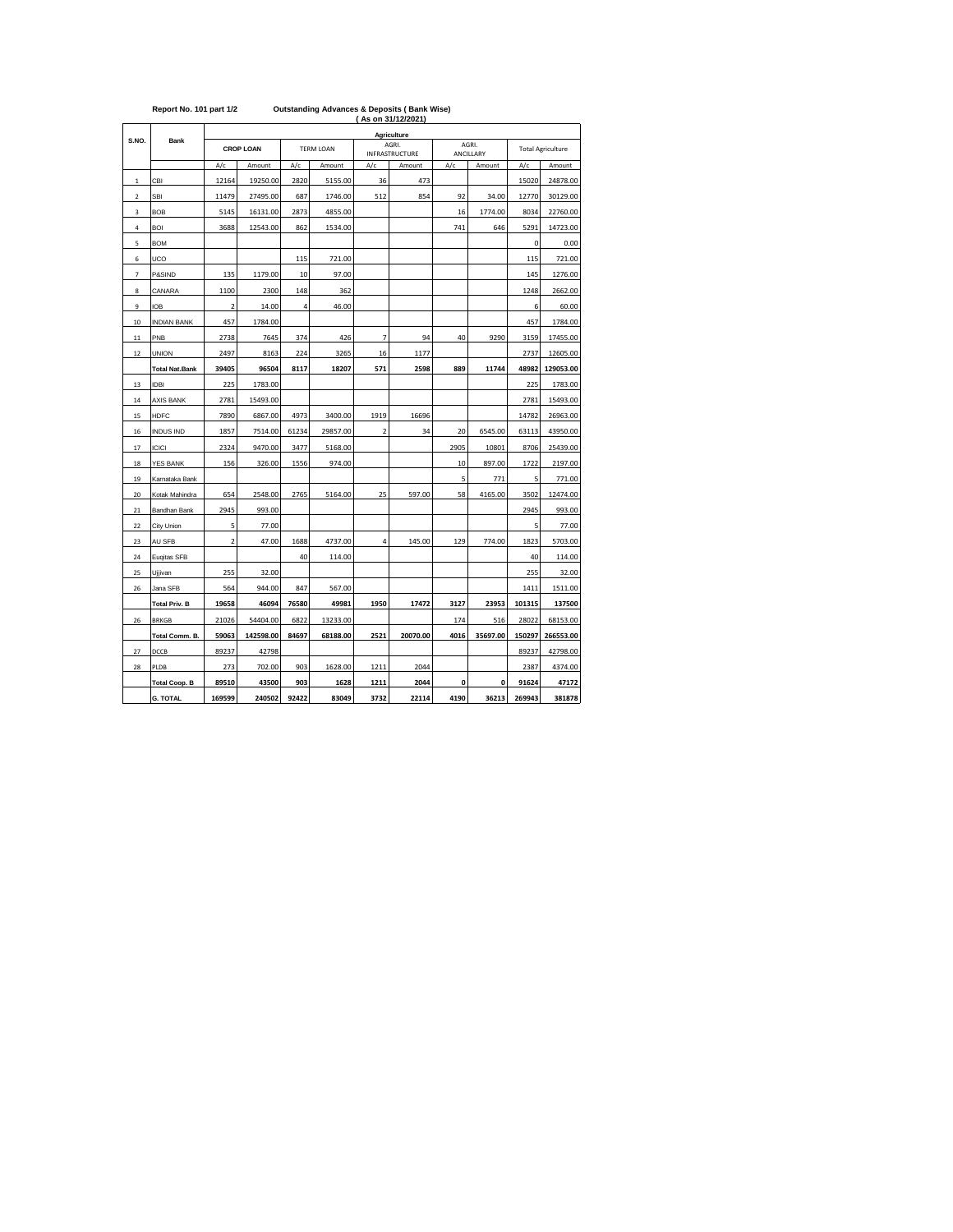|       | Report No. 101 part 1/2 |     |                  | <b>Outstanding Advances &amp; Deposits (Bank Wise)</b><br>(As on 31/12/2021) |           |     |                                |                           |    |  |  |  |  |
|-------|-------------------------|-----|------------------|------------------------------------------------------------------------------|-----------|-----|--------------------------------|---------------------------|----|--|--|--|--|
| S.NO. |                         |     |                  |                                                                              |           |     | Agriculture                    |                           |    |  |  |  |  |
|       | <b>Bank</b>             |     | <b>CROP LOAN</b> |                                                                              | TFRM LOAN |     | AGRI.<br><b>INFRASTRUCTURE</b> | AGRI.<br><b>ANCILLARY</b> |    |  |  |  |  |
|       |                         | A/c | Amount           | A/c                                                                          | Amount    | A/c | Amount                         | A/c                       | Am |  |  |  |  |

Total Agriculture

|                | <b>G. TOTAL</b>       | 169599                  | 240502    | 92422 | 83049    | 3732           | 22114    | 4190 | 36213    | 269943 | 381878    |
|----------------|-----------------------|-------------------------|-----------|-------|----------|----------------|----------|------|----------|--------|-----------|
|                | <b>Total Coop. B</b>  | 89510                   | 43500     | 903   | 1628     | 1211           | 2044     | 0    | 0        | 91624  | 47172     |
| 28             | PLDB                  | 273                     | 702.00    | 903   | 1628.00  | 1211           | 2044     |      |          | 2387   | 4374.00   |
| 27             | DCCB                  | 89237                   | 42798     |       |          |                |          |      |          | 89237  | 42798.00  |
|                | Total Comm. B.        | 59063                   | 142598.00 | 84697 | 68188.00 | 2521           | 20070.00 | 4016 | 35697.00 | 150297 | 266553.00 |
| 26             | <b>BRKGB</b>          | 21026                   | 54404.00  | 6822  | 13233.00 |                |          | 174  | 516      | 28022  | 68153.00  |
|                | <b>Total Priv. B</b>  | 19658                   | 46094     | 76580 | 49981    | 1950           | 17472    | 3127 | 23953    | 101315 | 137500    |
| 26             | Jana SFB              | 564                     | 944.00    | 847   | 567.00   |                |          |      |          | 1411   | 1511.00   |
| 25             | Ujjivan               | 255                     | 32.00     |       |          |                |          |      |          | 255    | 32.00     |
| 24             | Eugitas SFB           |                         |           | 40    | 114.00   |                |          |      |          | 40     | 114.00    |
| 23             | AU SFB                | 2                       | 47.00     | 1688  | 4737.00  | 4              | 145.00   | 129  | 774.00   | 1823   | 5703.00   |
| 22             | City Union            | 5                       | 77.00     |       |          |                |          |      |          | 5      | 77.00     |
| 21             | Bandhan Bank          | 2945                    | 993.00    |       |          |                |          |      |          | 2945   | 993.00    |
| 20             | Kotak Mahindra        | 654                     | 2548.00   | 2765  | 5164.00  | 25             | 597.00   | 58   | 4165.00  | 3502   | 12474.00  |
| 19             | Karnataka Bank        |                         |           |       |          |                |          | 5    | 771      | 5      | 771.00    |
| 18             | YES BANK              | 156                     | 326.00    | 1556  | 974.00   |                |          | 10   | 897.00   | 1722   | 2197.00   |
| 17             | <b>ICICI</b>          | 2324                    | 9470.00   | 3477  | 5168.00  |                |          | 2905 | 10801    | 8706   | 25439.00  |
| 16             | INDUS IND             | 1857                    | 7514.00   | 61234 | 29857.00 | $\overline{2}$ | 34       | 20   | 6545.00  | 63113  | 43950.00  |
| 15             | <b>HDFC</b>           | 7890                    | 6867.00   | 4973  | 3400.00  | 1919           | 16696    |      |          | 14782  | 26963.00  |
| 14             | AXIS BANK             | 2781                    | 15493.00  |       |          |                |          |      |          | 2781   | 15493.00  |
| 13             | <b>IDBI</b>           | 225                     | 1783.00   |       |          |                |          |      |          | 225    | 1783.00   |
|                | <b>Total Nat.Bank</b> | 39405                   | 96504     | 8117  | 18207    | 571            | 2598     | 889  | 11744    | 48982  | 129053.00 |
| 12             | <b>UNION</b>          | 2497                    | 8163      | 224   | 3265     | 16             | 1177     |      |          | 2737   | 12605.00  |
| 11             | PNB                   | 2738                    | 7645      | 374   | 426      | 7              | 94       | 40   | 9290     | 3159   | 17455.00  |
| 10             | <b>INDIAN BANK</b>    | 457                     | 1784.00   |       |          |                |          |      |          | 457    | 1784.00   |
| 9              | IOB                   | $\overline{\mathbf{2}}$ | 14.00     | 4     | 46.00    |                |          |      |          | 6      | 60.00     |
| 8              | CANARA                | 1100                    | 2300      | 148   | 362      |                |          |      |          | 1248   | 2662.00   |
| 7              | P&SIND                | 135                     | 1179.00   | 10    | 97.00    |                |          |      |          | 145    | 1276.00   |
| 6              | UCO                   |                         |           | 115   | 721.00   |                |          |      |          | 115    | 721.00    |
| 5              | <b>BOM</b>            |                         |           |       |          |                |          |      |          | 0      | 0.00      |
| $\overline{4}$ | <b>BOI</b>            | 3688                    | 12543.00  | 862   | 1534.00  |                |          | 741  | 646      | 5291   | 14723.00  |
| 3              | <b>BOB</b>            | 5145                    | 16131.00  | 2873  | 4855.00  |                |          | 16   | 1774.00  | 8034   | 22760.00  |
| $\overline{2}$ | SBI                   | 11479                   | 27495.00  | 687   | 1746.00  | 512            | 854      | 92   | 34.00    | 12770  | 30129.00  |
| $\mathbf{1}$   | CBI                   | 12164                   | 19250.00  | 2820  | 5155.00  | 36             | 473      |      |          | 15020  | 24878.00  |
|                |                       | A/c                     | Amount    | A/c   | Amount   | A/c            | Amount   | A/c  | Amount   | A/c    | Amount    |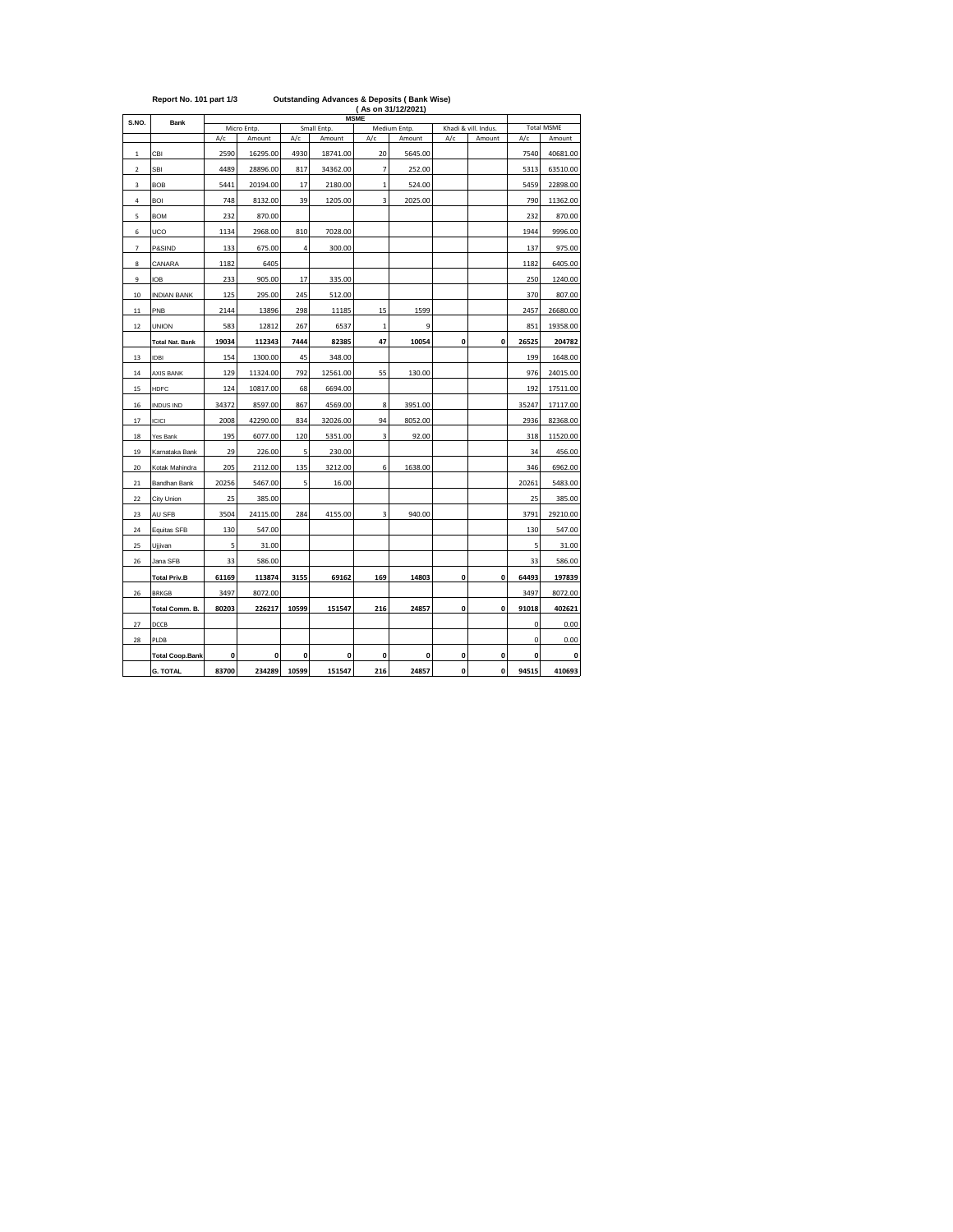|             | Report No. 101 part 1/3 |       |              |       | <b>Outstanding Advances &amp; Deposits (Bank Wise)</b> |                | (As on 31/12/2021) |     |                      |       |                   |
|-------------|-------------------------|-------|--------------|-------|--------------------------------------------------------|----------------|--------------------|-----|----------------------|-------|-------------------|
| S.NO.       | <b>Bank</b>             |       |              |       |                                                        | <b>MSME</b>    |                    |     |                      |       |                   |
|             |                         |       | Micro Entp.  |       | Small Entp.                                            |                | Medium Entp.       |     | Khadi & vill. Indus. |       | <b>Total MSME</b> |
|             |                         | A/c   | Amount       | A/c   | Amount                                                 | A/c            | Amount             | A/c | Amount               | A/c   | Amount            |
| $\mathbf 1$ | CBI                     | 2590  | 16295.00     | 4930  | 18741.00                                               | 20             | 5645.00            |     |                      | 7540  | 40681.00          |
| $\mathbf 2$ | <b>SBI</b>              | 4489  | 28896.00     | 817   | 34362.00                                               | $\overline{7}$ | 252.00             |     |                      | 5313  | 63510.00          |
| 3           | <b>BOB</b>              | 5441  | 20194.00     | 17    | 2180.00                                                | $\mathbf 1$    | 524.00             |     |                      | 5459  | 22898.00          |
| $\sqrt{4}$  | BOI                     | 748   | 8132.00      | 39    | 1205.00                                                | 3              | 2025.00            |     |                      | 790   | 11362.00          |
| 5           | <b>BOM</b>              | 232   | 870.00       |       |                                                        |                |                    |     |                      | 232   | 870.00            |
| 6           | UCO                     | 1134  | 2968.00      | 810   | 7028.00                                                |                |                    |     |                      | 1944  | 9996.00           |
| 7           | P&SIND                  | 133   | 675.00       | 4     | 300.00                                                 |                |                    |     |                      | 137   | 975.00            |
| 8           | CANARA                  | 1182  | 6405         |       |                                                        |                |                    |     |                      | 1182  | 6405.00           |
| 9           | <b>IOB</b>              | 233   | 905.00       | 17    | 335.00                                                 |                |                    |     |                      | 250   | 1240.00           |
| 10          | <b>INDIAN BANK</b>      | 125   | 295.00       | 245   | 512.00                                                 |                |                    |     |                      | 370   | 807.00            |
| 11          | PNB                     | 2144  | 13896        | 298   | 11185                                                  | 15             | 1599               |     |                      | 2457  | 26680.00          |
| $12\,$      | <b>UNION</b>            | 583   | 12812        | 267   | 6537                                                   | $\,1\,$        | 9                  |     |                      | 851   | 19358.00          |
|             | <b>Total Nat. Bank</b>  | 19034 | 112343       | 7444  | 82385                                                  | 47             | 10054              | 0   | 0                    | 26525 | 204782            |
| 13          | <b>IDBI</b>             | 154   | 1300.00      | 45    | 348.00                                                 |                |                    |     |                      | 199   | 1648.00           |
| 14          | <b>AXIS BANK</b>        | 129   | 11324.00     | 792   | 12561.00                                               | 55             | 130.00             |     |                      | 976   | 24015.00          |
| 15          | <b>HDFC</b>             | 124   | 10817.00     | 68    | 6694.00                                                |                |                    |     |                      | 192   | 17511.00          |
| 16          | <b>INDUS IND</b>        | 34372 | 8597.00      | 867   | 4569.00                                                | 8              | 3951.00            |     |                      | 35247 | 17117.00          |
| 17          | ICICI                   | 2008  | 42290.00     | 834   | 32026.00                                               | 94             | 8052.00            |     |                      | 2936  | 82368.00          |
| 18          | Yes Bank                | 195   | 6077.00      | 120   | 5351.00                                                | 3              | 92.00              |     |                      | 318   | 11520.00          |
| 19          | Karnataka Bank          | 29    | 226.00       | 5     | 230.00                                                 |                |                    |     |                      | 34    | 456.00            |
| 20          | Kotak Mahindra          | 205   | 2112.00      | 135   | 3212.00                                                | 6              | 1638.00            |     |                      | 346   | 6962.00           |
| 21          | Bandhan Bank            | 20256 | 5467.00      | 5     | 16.00                                                  |                |                    |     |                      | 20261 | 5483.00           |
| 22          | City Union              | 25    | 385.00       |       |                                                        |                |                    |     |                      | 25    | 385.00            |
| 23          | AU SFB                  | 3504  | 24115.00     | 284   | 4155.00                                                | 3              | 940.00             |     |                      | 3791  | 29210.00          |
| 24          | Equitas SFB             | 130   | 547.00       |       |                                                        |                |                    |     |                      | 130   | 547.00            |
| 25          | Ujjivan                 | 5     | 31.00        |       |                                                        |                |                    |     |                      | 5     | 31.00             |
| 26          | Jana SFB                | 33    | 586.00       |       |                                                        |                |                    |     |                      | 33    | 586.00            |
|             | <b>Total Priv.B</b>     | 61169 | 113874       | 3155  | 69162                                                  | 169            | 14803              | 0   | $\mathbf{0}$         | 64493 | 197839            |
| 26          | <b>BRKGB</b>            | 3497  | 8072.00      |       |                                                        |                |                    |     |                      | 3497  | 8072.00           |
|             | Total Comm. B.          | 80203 | 226217       | 10599 | 151547                                                 | 216            | 24857              | 0   | $\mathbf{0}$         | 91018 | 402621            |
| 27          | DCCB                    |       |              |       |                                                        |                |                    |     |                      | 0     | 0.00              |
| 28          | PLDB                    |       |              |       |                                                        |                |                    |     |                      | 0     | 0.00              |
|             | <b>Total Coop.Bank</b>  | 0     | $\mathbf{0}$ | 0     | 0                                                      | 0              | $\mathbf{0}$       | 0   | 0                    | 0     | O                 |
|             | <b>G. TOTAL</b>         | 83700 | 234289       | 10599 | 151547                                                 | 216            | 24857              | 0   | 0                    | 94515 | 410693            |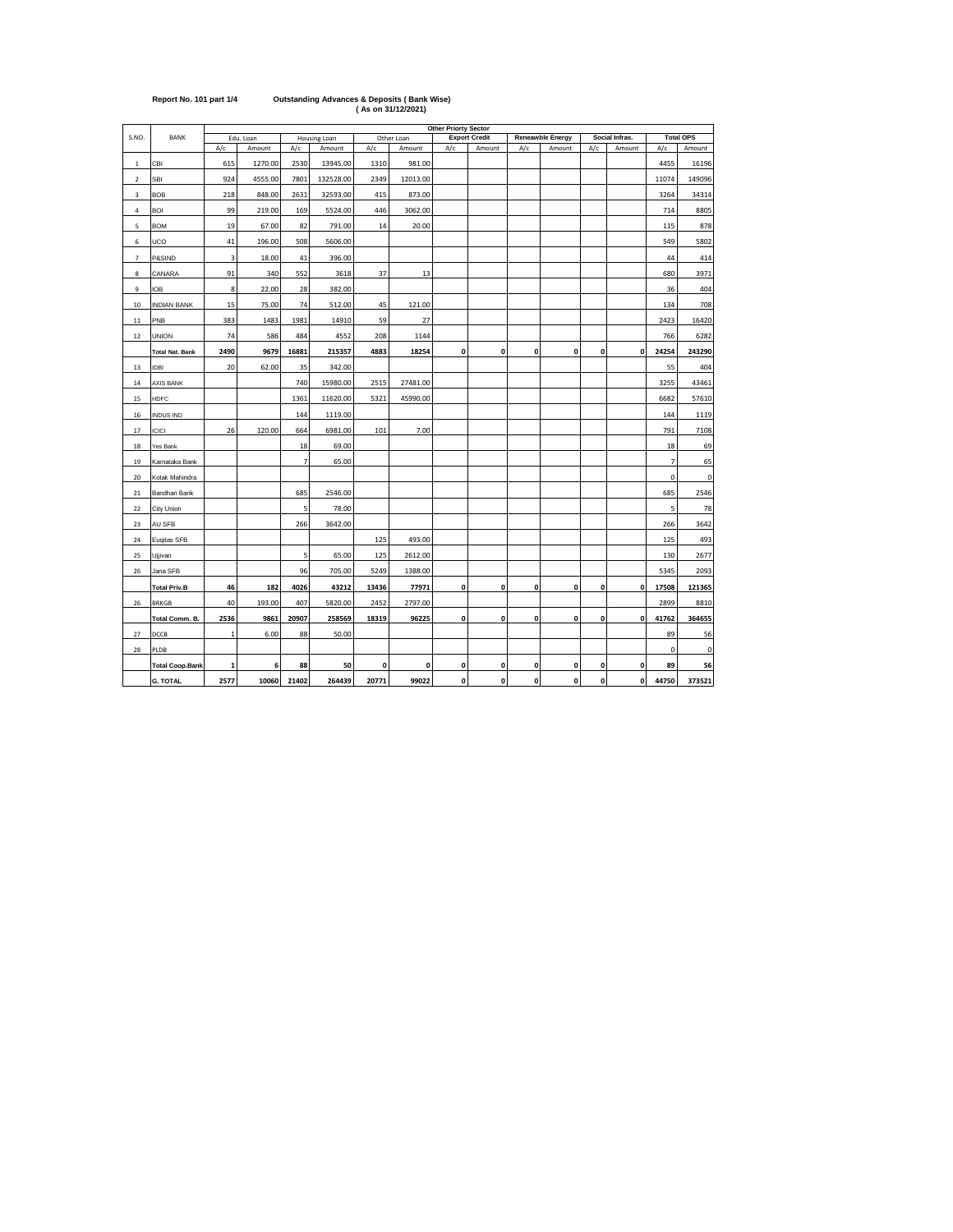|                         |                        | <b>Other Priorty Sector</b> |           |                |              |       |              |     |                      |              |                  |              |                |                |                  |
|-------------------------|------------------------|-----------------------------|-----------|----------------|--------------|-------|--------------|-----|----------------------|--------------|------------------|--------------|----------------|----------------|------------------|
| S.NO.                   | BANK                   |                             | Edu. Loan |                | Housing Loan |       | Other Loan   |     | <b>Export Credit</b> |              | Reneawble Energy |              | Social Infras. |                | <b>Total OPS</b> |
|                         |                        | A/c                         | Amount    | A/c            | Amount       | A/c   | Amount       | A/c | Amount               | A/c          | Amount           | A/c          | Amount         | A/c            | Amount           |
| $\mathbf{1}$            | CBI                    | 615                         | 1270.00   | 2530           | 13945.00     | 1310  | 981.00       |     |                      |              |                  |              |                | 4455           | 16196            |
| $\overline{\mathbf{c}}$ | SBI                    | 924                         | 4555.00   | 7801           | 132528.00    | 2349  | 12013.00     |     |                      |              |                  |              |                | 11074          | 149096           |
| 3                       | <b>BOB</b>             | 218                         | 848.00    | 2631           | 32593.00     | 415   | 873.00       |     |                      |              |                  |              |                | 3264           | 34314            |
| 4                       | BOI                    | 99                          | 219.00    | 169            | 5524.00      | 446   | 3062.00      |     |                      |              |                  |              |                | 714            | 8805             |
| 5                       | <b>BOM</b>             | 19                          | 67.00     | 82             | 791.00       | 14    | 20.00        |     |                      |              |                  |              |                | 115            | 878              |
| 6                       | UCO                    | 41                          | 196.00    | 508            | 5606.00      |       |              |     |                      |              |                  |              |                | 549            | 5802             |
| 7                       | P&SIND                 | 3                           | 18.00     | 41             | 396.00       |       |              |     |                      |              |                  |              |                | 44             | 414              |
| 8                       | CANARA                 | 91                          | 340       | 552            | 3618         | 37    | 13           |     |                      |              |                  |              |                | 680            | 3971             |
| 9                       | <b>IOB</b>             | 8                           | 22.00     | 28             | 382.00       |       |              |     |                      |              |                  |              |                | 36             | 404              |
| 10                      | <b>INDIAN BANK</b>     | 15                          | 75.00     | 74             | 512.00       | 45    | 121.00       |     |                      |              |                  |              |                | 134            | 708              |
| 11                      | PNB                    | 383                         | 1483      | 1981           | 14910        | 59    | 27           |     |                      |              |                  |              |                | 2423           | 16420            |
| 12                      | <b>UNION</b>           | 74                          | 586       | 484            | 4552         | 208   | 1144         |     |                      |              |                  |              |                | 766            | 6282             |
|                         | <b>Total Nat. Bank</b> | 2490                        | 9679      | 16881          | 215357       | 4883  | 18254        | 0   | 0                    | $\mathbf{0}$ | 0                | $\mathbf{0}$ | $\mathbf{0}$   | 24254          | 243290           |
| 13                      | <b>IDBI</b>            | 20                          | 62.00     | 35             | 342.00       |       |              |     |                      |              |                  |              |                | 55             | 404              |
| 14                      | <b>AXIS BANK</b>       |                             |           | 740            | 15980.00     | 2515  | 27481.00     |     |                      |              |                  |              |                | 3255           | 43461            |
| 15                      | <b>HDFC</b>            |                             |           | 1361           | 11620.00     | 5321  | 45990.00     |     |                      |              |                  |              |                | 6682           | 57610            |
| 16                      | <b>INDUS IND</b>       |                             |           | 144            | 1119.00      |       |              |     |                      |              |                  |              |                | 144            | 1119             |
| 17                      | ICICI                  | 26                          | 120.00    | 664            | 6981.00      | 101   | 7.00         |     |                      |              |                  |              |                | 791            | 7108             |
| 18                      | Yes Bank               |                             |           | 18             | 69.00        |       |              |     |                      |              |                  |              |                | 18             | 69               |
| 19                      | Karnataka Bank         |                             |           | $\overline{7}$ | 65.00        |       |              |     |                      |              |                  |              |                | $\overline{7}$ | 65               |
| 20                      | Kotak Mahindra         |                             |           |                |              |       |              |     |                      |              |                  |              |                | 0              | $\pmb{0}$        |
| 21                      | Bandhan Bank           |                             |           | 685            | 2546.00      |       |              |     |                      |              |                  |              |                | 685            | 2546             |
| 22                      | City Union             |                             |           | 5              | 78.00        |       |              |     |                      |              |                  |              |                | 5              | 78               |
| 23                      | AU SFB                 |                             |           | 266            | 3642.00      |       |              |     |                      |              |                  |              |                | 266            | 3642             |
| 24                      | Eugitas SFB            |                             |           |                |              | 125   | 493.00       |     |                      |              |                  |              |                | 125            | 493              |
| 25                      | Ujjivan                |                             |           | 5              | 65.00        | 125   | 2612.00      |     |                      |              |                  |              |                | 130            | 2677             |
| 26                      | Jana SFB               |                             |           | 96             | 705.00       | 5249  | 1388.00      |     |                      |              |                  |              |                | 5345           | 2093             |
|                         | <b>Total Priv.B</b>    | 46                          | 182       | 4026           | 43212        | 13436 | 77971        | 0   | 0                    | 0            | 0                | $\mathbf{0}$ | 0              | 17508          | 121365           |
| 26                      | <b>BRKGB</b>           | 40                          | 193.00    | 407            | 5820.00      | 2452  | 2797.00      |     |                      |              |                  |              |                | 2899           | 8810             |
|                         | Total Comm. B.         | 2536                        | 9861      | 20907          | 258569       | 18319 | 96225        | 0   | 0                    | $\pmb{0}$    | 0                | 0            | $\pmb{0}$      | 41762          | 364655           |
| 27                      | DCCB                   | $\mathbf{1}$                | 6.00      | 88             | 50.00        |       |              |     |                      |              |                  |              |                | 89             | 56               |
| 28                      | PLDB                   |                             |           |                |              |       |              |     |                      |              |                  |              |                | $\mathbf 0$    | 0                |
|                         | <b>Total Coop.Bank</b> | 1                           | 6         | 88             | 50           | 0     | $\mathbf{0}$ | 0   | 0                    | 0            | 0                | $\mathbf{0}$ | $\mathbf{0}$   | 89             | 56               |
|                         | <b>G. TOTAL</b>        | 2577                        | 10060     | 21402          | 264439       | 20771 | 99022        | 0   | 0                    | $\mathbf 0$  | $\mathbf{0}$     | $\mathbf{0}$ | 0              | 44750          | 373521           |

**Report No. 101 part 1/4 Outstanding Advances & Deposits ( Bank Wise) ( As on 31/12/2021)**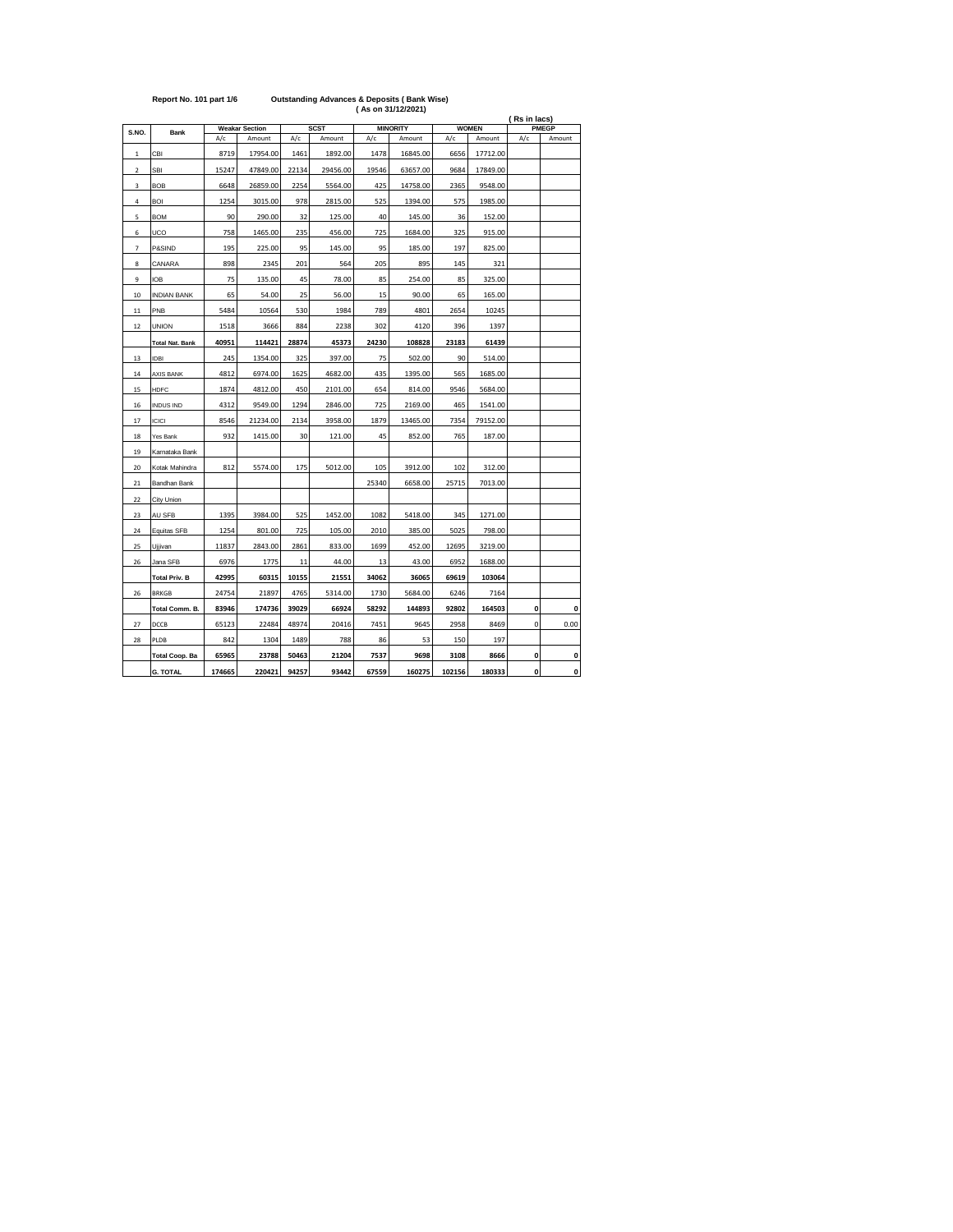|                |                        |        |                       |       |             | $(A5 \, \text{OII} \, \text{OII} \, \text{I} \, \text{I} \, \text{I} \, \text{I} \, \text{I} \, \text{I} \, \text{I} \, \text{I} \, \text{I} \, \text{I} \, \text{I} \, \text{I} \, \text{I} \, \text{I} \, \text{I} \, \text{I} \, \text{I} \, \text{I} \, \text{I} \, \text{I} \, \text{I} \, \text{I} \, \text{I} \, \text{I} \, \text{I} \, \text{I} \, \text{I} \, \text{I} \, \text{I$ |                 |        |              | (Rs in lacs) |              |  |
|----------------|------------------------|--------|-----------------------|-------|-------------|----------------------------------------------------------------------------------------------------------------------------------------------------------------------------------------------------------------------------------------------------------------------------------------------------------------------------------------------------------------------------------------------|-----------------|--------|--------------|--------------|--------------|--|
| S.NO.          | <b>Bank</b>            |        | <b>Weakar Section</b> |       | <b>SCST</b> |                                                                                                                                                                                                                                                                                                                                                                                              | <b>MINORITY</b> |        | <b>WOMEN</b> |              | <b>PMEGP</b> |  |
|                |                        | A/c    | Amount                | A/c   | Amount      | A/c                                                                                                                                                                                                                                                                                                                                                                                          | Amount          | A/c    | Amount       | A/c          | Amount       |  |
| $\mathbf 1$    | CBI                    | 8719   | 17954.00              | 1461  | 1892.00     | 1478                                                                                                                                                                                                                                                                                                                                                                                         | 16845.00        | 6656   | 17712.00     |              |              |  |
| $\mathbf 2$    | <b>SBI</b>             | 15247  | 47849.00              | 22134 | 29456.00    | 19546                                                                                                                                                                                                                                                                                                                                                                                        | 63657.00        | 9684   | 17849.00     |              |              |  |
| 3              | <b>BOB</b>             | 6648   | 26859.00              | 2254  | 5564.00     | 425                                                                                                                                                                                                                                                                                                                                                                                          | 14758.00        | 2365   | 9548.00      |              |              |  |
| 4              | BOI                    | 1254   | 3015.00               | 978   | 2815.00     | 525                                                                                                                                                                                                                                                                                                                                                                                          | 1394.00         | 575    | 1985.00      |              |              |  |
| 5              | <b>BOM</b>             | 90     | 290.00                | 32    | 125.00      | 40                                                                                                                                                                                                                                                                                                                                                                                           | 145.00          | 36     | 152.00       |              |              |  |
| 6              | UCO                    | 758    | 1465.00               | 235   | 456.00      | 725                                                                                                                                                                                                                                                                                                                                                                                          | 1684.00         | 325    | 915.00       |              |              |  |
| $\overline{7}$ | P&SIND                 | 195    | 225.00                | 95    | 145.00      | 95                                                                                                                                                                                                                                                                                                                                                                                           | 185.00          | 197    | 825.00       |              |              |  |
| 8              | CANARA                 | 898    | 2345                  | 201   | 564         | 205                                                                                                                                                                                                                                                                                                                                                                                          | 895             | 145    | 321          |              |              |  |
| 9              | IOB                    | 75     | 135.00                | 45    | 78.00       | 85                                                                                                                                                                                                                                                                                                                                                                                           | 254.00          | 85     | 325.00       |              |              |  |
| 10             | <b>INDIAN BANK</b>     | 65     | 54.00                 | 25    | 56.00       | 15                                                                                                                                                                                                                                                                                                                                                                                           | 90.00           | 65     | 165.00       |              |              |  |
| 11             | PNB                    | 5484   | 10564                 | 530   | 1984        | 789                                                                                                                                                                                                                                                                                                                                                                                          | 4801            | 2654   | 10245        |              |              |  |
| 12             | <b>UNION</b>           | 1518   | 3666                  | 884   | 2238        | 302                                                                                                                                                                                                                                                                                                                                                                                          | 4120            | 396    | 1397         |              |              |  |
|                | <b>Total Nat. Bank</b> | 40951  | 114421                | 28874 | 45373       | 24230                                                                                                                                                                                                                                                                                                                                                                                        | 108828          | 23183  | 61439        |              |              |  |
| 13             | <b>IDBI</b>            | 245    | 1354.00               | 325   | 397.00      | 75                                                                                                                                                                                                                                                                                                                                                                                           | 502.00          | 90     | 514.00       |              |              |  |
| 14             | <b>AXIS BANK</b>       | 4812   | 6974.00               | 1625  | 4682.00     | 435                                                                                                                                                                                                                                                                                                                                                                                          | 1395.00         | 565    | 1685.00      |              |              |  |
| 15             | <b>HDFC</b>            | 1874   | 4812.00               | 450   | 2101.00     | 654                                                                                                                                                                                                                                                                                                                                                                                          | 814.00          | 9546   | 5684.00      |              |              |  |
| 16             | <b>INDUS IND</b>       | 4312   | 9549.00               | 1294  | 2846.00     | 725                                                                                                                                                                                                                                                                                                                                                                                          | 2169.00         | 465    | 1541.00      |              |              |  |
| 17             | <b>ICICI</b>           | 8546   | 21234.00              | 2134  | 3958.00     | 1879                                                                                                                                                                                                                                                                                                                                                                                         | 13465.00        | 7354   | 79152.00     |              |              |  |
| $18\,$         | Yes Bank               | 932    | 1415.00               | 30    | 121.00      | 45                                                                                                                                                                                                                                                                                                                                                                                           | 852.00          | 765    | 187.00       |              |              |  |
| 19             | Karnataka Bank         |        |                       |       |             |                                                                                                                                                                                                                                                                                                                                                                                              |                 |        |              |              |              |  |
| 20             | Kotak Mahindra         | 812    | 5574.00               | 175   | 5012.00     | 105                                                                                                                                                                                                                                                                                                                                                                                          | 3912.00         | 102    | 312.00       |              |              |  |
| 21             | Bandhan Bank           |        |                       |       |             | 25340                                                                                                                                                                                                                                                                                                                                                                                        | 6658.00         | 25715  | 7013.00      |              |              |  |
| 22             | City Union             |        |                       |       |             |                                                                                                                                                                                                                                                                                                                                                                                              |                 |        |              |              |              |  |
| 23             | AU SFB                 | 1395   | 3984.00               | 525   | 1452.00     | 1082                                                                                                                                                                                                                                                                                                                                                                                         | 5418.00         | 345    | 1271.00      |              |              |  |
| 24             | Equitas SFB            | 1254   | 801.00                | 725   | 105.00      | 2010                                                                                                                                                                                                                                                                                                                                                                                         | 385.00          | 5025   | 798.00       |              |              |  |
| 25             | Ujjivan                | 11837  | 2843.00               | 2861  | 833.00      | 1699                                                                                                                                                                                                                                                                                                                                                                                         | 452.00          | 12695  | 3219.00      |              |              |  |
| 26             | Jana SFB               | 6976   | 1775                  | 11    | 44.00       | 13                                                                                                                                                                                                                                                                                                                                                                                           | 43.00           | 6952   | 1688.00      |              |              |  |
|                | <b>Total Priv. B</b>   | 42995  | 60315                 | 10155 | 21551       | 34062                                                                                                                                                                                                                                                                                                                                                                                        | 36065           | 69619  | 103064       |              |              |  |
| 26             | <b>BRKGB</b>           | 24754  | 21897                 | 4765  | 5314.00     | 1730                                                                                                                                                                                                                                                                                                                                                                                         | 5684.00         | 6246   | 7164         |              |              |  |
|                | Total Comm. B.         | 83946  | 174736                | 39029 | 66924       | 58292                                                                                                                                                                                                                                                                                                                                                                                        | 144893          | 92802  | 164503       | 0            | $\mathbf{0}$ |  |
| 27             | DCCB                   | 65123  | 22484                 | 48974 | 20416       | 7451                                                                                                                                                                                                                                                                                                                                                                                         | 9645            | 2958   | 8469         | 0            | 0.00         |  |
| 28             | PLDB                   | 842    | 1304                  | 1489  | 788         | 86                                                                                                                                                                                                                                                                                                                                                                                           | 53              | 150    | 197          |              |              |  |
|                | <b>Total Coop. Ba</b>  | 65965  | 23788                 | 50463 | 21204       | 7537                                                                                                                                                                                                                                                                                                                                                                                         | 9698            | 3108   | 8666         | 0            | 0            |  |
|                | <b>G. TOTAL</b>        | 174665 | 220421                | 94257 | 93442       | 67559                                                                                                                                                                                                                                                                                                                                                                                        | 160275          | 102156 | 180333       | $\mathbf{0}$ | $\mathbf{o}$ |  |

## **Report No. 101 part 1/6 Outstanding Advances & Deposits ( Bank Wise) ( As on 31/12/2021)**